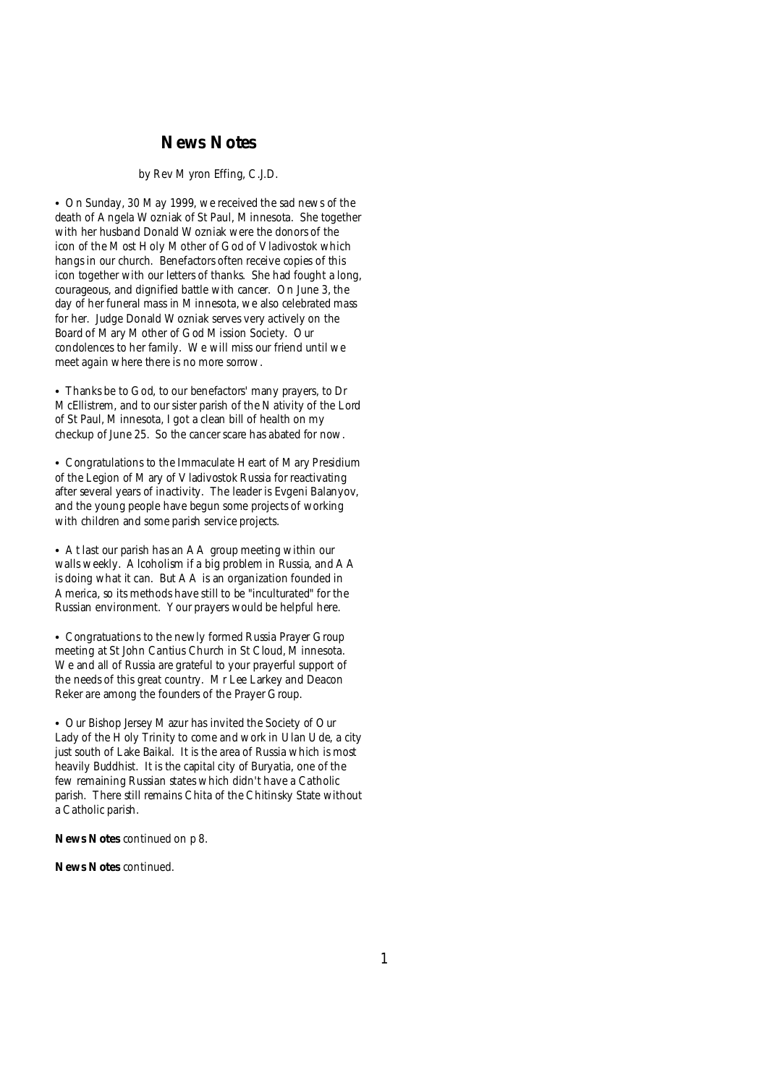### **News Notes**

### *by Rev Myron Effing, C.J.D.*

• On Sunday, 30 May 1999, we received the sad news of the death of Angela Wozniak of St Paul, Minnesota. She together with her husband Donald Wozniak were the donors of the icon of the Most Holy Mother of God of Vladivostok which hangs in our church. Benefactors often receive copies of this icon together with our letters of thanks. She had fought a long, courageous, and dignified battle with cancer. On June 3, the day of her funeral mass in Minnesota, we also celebrated mass for her. Judge Donald Wozniak serves very actively on the Board of Mary Mother of God Mission Society. Our condolences to her family. We will miss our friend until we meet again where there is no more sorrow.

• Thanks be to God, to our benefactors' many prayers, to Dr McEllistrem, and to our sister parish of the Nativity of the Lord of St Paul, Minnesota, I got a clean bill of health on my checkup of June 25. So the cancer scare has abated for now.

• Congratulations to the Immaculate Heart of Mary Presidium of the Legion of Mary of Vladivostok Russia for reactivating after several years of inactivity. The leader is Evgeni Balanyov, and the young people have begun some projects of working with children and some parish service projects.

• At last our parish has an AA group meeting within our walls weekly. Alcoholism if a big problem in Russia, and AA is doing what it can. But AA is an organization founded in America, so its methods have still to be "inculturated" for the Russian environment. Your prayers would be helpful here.

• Congratuations to the newly formed Russia Prayer Group meeting at St John Cantius Church in St Cloud, Minnesota. We and all of Russia are grateful to your prayerful support of the needs of this great country. Mr Lee Larkey and Deacon Reker are among the founders of the Prayer Group.

• Our Bishop Jersey Mazur has invited the Society of Our Lady of the Holy Trinity to come and work in Ulan Ude, a city just south of Lake Baikal. It is the area of Russia which is most heavily Buddhist. It is the capital city of Buryatia, one of the few remaining Russian states which didn't have a Catholic parish. There still remains Chita of the Chitinsky State without a Catholic parish.

**News Notes** continued on p 8.

**News Notes** continued.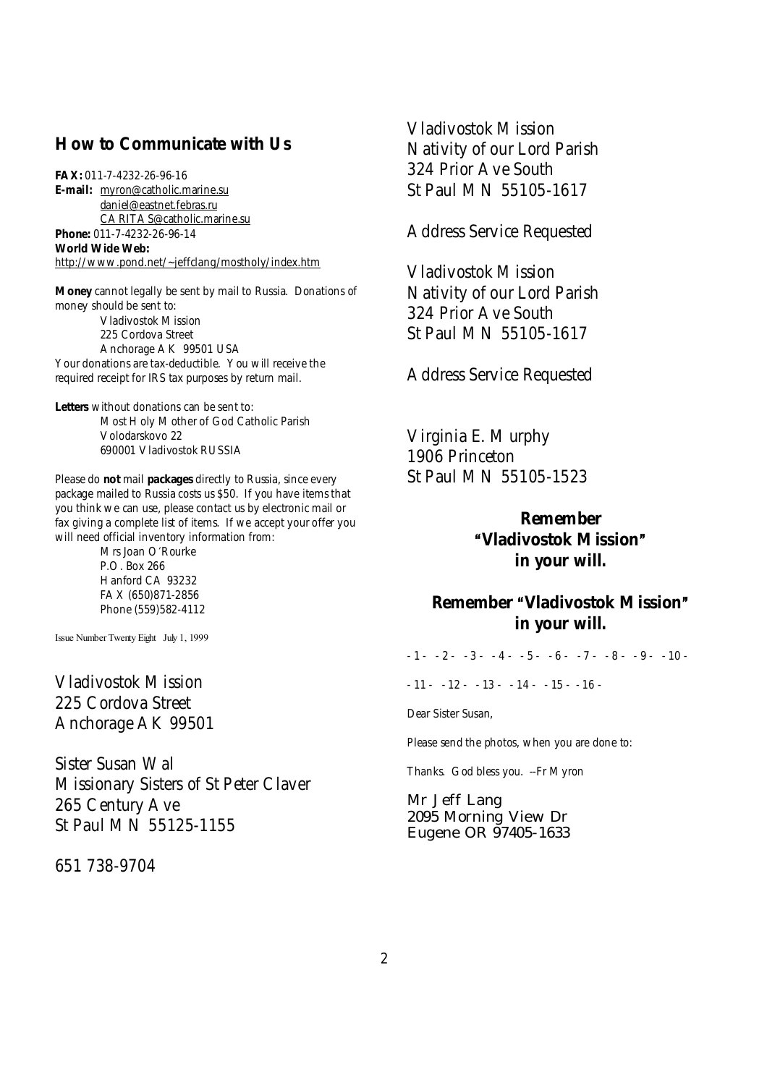## **How to Communicate with Us**

**FAX:** 011-7-4232-26-96-16 **E-mail:** [myron@catholic.marine.su](mailto:myron@catholic.marine.su) [daniel@eastnet.febras.ru](mailto:daniel@eastnet.febras.ru) [CARITAS@catholic.marine.su](mailto:CARITAS@catholic.marine.su) **Phone:** 011-7-4232-26-96-14 **World Wide Web:**  <http://www.pond.net/~jeffclang/mostholy/index.htm>

**Money** cannot legally be sent by mail to Russia. Donations of money should be sent to: Vladivostok Mission 225 Cordova Street Anchorage AK 99501 USA Your donations are tax-deductible. You will receive the required receipt for IRS tax purposes by return mail.

**Letters** without donations can be sent to: Most Holy Mother of God Catholic Parish Volodarskovo 22 690001 Vladivostok RUSSIA

Please do **not** mail **packages** directly to Russia, since every package mailed to Russia costs us \$50. If you have items that you think we can use, please contact us by electronic mail or fax giving a complete list of items. If we accept your offer you will need official inventory information from:

> Mrs Joan O'Rourke P.O. Box 266 Hanford CA 93232 FAX (650)871-2856 Phone (559)582-4112

Issue Number Twenty Eight July 1, 1999

Vladivostok Mission 225 Cordova Street Anchorage AK 99501

Sister Susan Wal Missionary Sisters of St Peter Claver 265 Century Ave St Paul MN 55125-1155

651 738-9704

Vladivostok Mission Nativity of our Lord Parish 324 Prior Ave South St Paul MN 55105-1617

Address Service Requested

Vladivostok Mission Nativity of our Lord Parish 324 Prior Ave South St Paul MN 55105-1617

Address Service Requested

Virginia E. Murphy 1906 Princeton St Paul MN 55105-1523

> **Remember AVladivostok Mission@ in your will.**

# **Remember "Vladivostok Mission" in your will.**

 $-1 - 2 - 3 - 4 - 5 - 6 - 7 - 8 - 9 - 10 - 1$ 

 $-11 - 12 - 13 - 14 - 15 - 16$ 

Dear Sister Susan,

Please send the photos, when you are done to:

Thanks. God bless you. --Fr Myron

Mr Jeff Lang 2095 Morning View Dr Eugene OR 97405-1633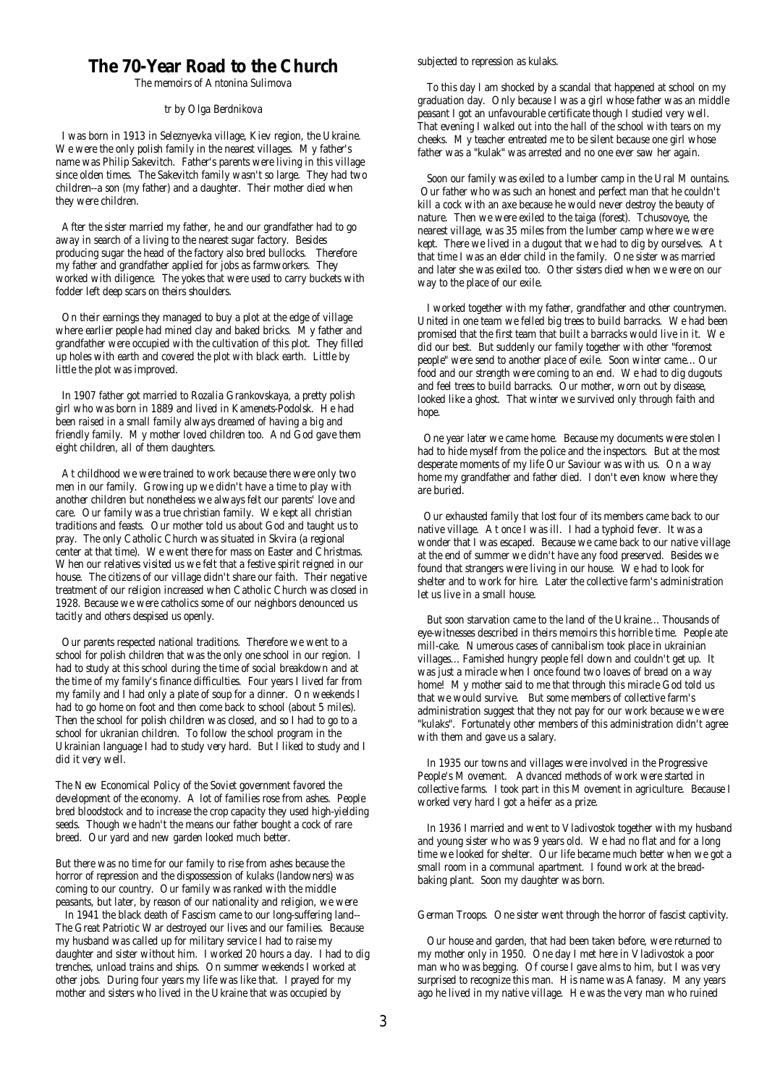## **The 70-Year Road to the Church**

The memoirs of Antonina Sulimova

#### *tr by Olga Berdnikova*

 I was born in 1913 in Seleznyevka village, Kiev region, the Ukraine. We were the only polish family in the nearest villages. My father's name was Philip Sakevitch. Father's parents were living in this village since olden times. The Sakevitch family wasn't so large. They had two children--a son (my father) and a daughter. Their mother died when they were children.

 After the sister married my father, he and our grandfather had to go away in search of a living to the nearest sugar factory. Besides producing sugar the head of the factory also bred bullocks. Therefore my father and grandfather applied for jobs as farmworkers. They worked with diligence. The yokes that were used to carry buckets with fodder left deep scars on theirs shoulders.

 On their earnings they managed to buy a plot at the edge of village where earlier people had mined clay and baked bricks. My father and grandfather were occupied with the cultivation of this plot. They filled up holes with earth and covered the plot with black earth. Little by little the plot was improved.

 In 1907 father got married to Rozalia Grankovskaya, a pretty polish girl who was born in 1889 and lived in Kamenets-Podolsk. He had been raised in a small family always dreamed of having a big and friendly family. My mother loved children too. And God gave them eight children, all of them daughters.

 At childhood we were trained to work because there were only two men in our family. Growing up we didn't have a time to play with another children but nonetheless we always felt our parents' love and care. Our family was a true christian family. We kept all christian traditions and feasts. Our mother told us about God and taught us to pray. The only Catholic Church was situated in Skvira (a regional center at that time). We went there for mass on Easter and Christmas. When our relatives visited us we felt that a festive spirit reigned in our house. The citizens of our village didn't share our faith. Their negative treatment of our religion increased when Catholic Church was closed in 1928. Because we were catholics some of our neighbors denounced us tacitly and others despised us openly.

 Our parents respected national traditions. Therefore we went to a school for polish children that was the only one school in our region. I had to study at this school during the time of social breakdown and at the time of my family's finance difficulties. Four years I lived far from my family and I had only a plate of soup for a dinner. On weekends I had to go home on foot and then come back to school (about 5 miles). Then the school for polish children was closed, and so I had to go to a school for ukranian children. To follow the school program in the Ukrainian language I had to study very hard. But I liked to study and I did it very well.

The New Economical Policy of the Soviet government favored the development of the economy. A lot of families rose from ashes. People bred bloodstock and to increase the crop capacity they used high-yielding seeds. Though we hadn't the means our father bought a cock of rare breed. Our yard and new garden looked much better.

But there was no time for our family to rise from ashes because the horror of repression and the dispossession of kulaks (landowners) was coming to our country. Our family was ranked with the middle peasants, but later, by reason of our nationality and religion, we were

 In 1941 the black death of Fascism came to our long-suffering land-- The Great Patriotic War destroyed our lives and our families. Because my husband was called up for military service I had to raise my daughter and sister without him. I worked 20 hours a day. I had to dig trenches, unload trains and ships. On summer weekends I worked at other jobs. During four years my life was like that. I prayed for my mother and sisters who lived in the Ukraine that was occupied by

subjected to repression as kulaks.

 To this day I am shocked by a scandal that happened at school on my graduation day. Only because I was a girl whose father was an middle peasant I got an unfavourable certificate though I studied very well. That evening I walked out into the hall of the school with tears on my cheeks. My teacher entreated me to be silent because one girl whose father was a "kulak" was arrested and no one ever saw her again.

 Soon our family was exiled to a lumber camp in the Ural Mountains. Our father who was such an honest and perfect man that he couldn't kill a cock with an axe because he would never destroy the beauty of nature. Then we were exiled to the taiga (forest). Tchusovoye, the nearest village, was 35 miles from the lumber camp where we were kept. There we lived in a dugout that we had to dig by ourselves. At that time I was an elder child in the family. One sister was married and later she was exiled too. Other sisters died when we were on our way to the place of our exile.

 I worked together with my father, grandfather and other countrymen. United in one team we felled big trees to build barracks. We had been promised that the first team that built a barracks would live in it. We did our best. But suddenly our family together with other "foremost people" were send to another place of exile. Soon winter came... Our food and our strength were coming to an end. We had to dig dugouts and feel trees to build barracks. Our mother, worn out by disease, looked like a ghost. That winter we survived only through faith and hope.

 One year later we came home. Because my documents were stolen I had to hide myself from the police and the inspectors. But at the most desperate moments of my life Our Saviour was with us. On a way home my grandfather and father died. I don't even know where they are buried.

 Our exhausted family that lost four of its members came back to our native village. At once I was ill. I had a typhoid fever. It was a wonder that I was escaped. Because we came back to our native village at the end of summer we didn't have any food preserved. Besides we found that strangers were living in our house. We had to look for shelter and to work for hire. Later the collective farm's administration let us live in a small house.

 But soon starvation came to the land of the Ukraine... Thousands of eye-witnesses described in theirs memoirs this horrible time. People ate mill-cake. Numerous cases of cannibalism took place in ukrainian villages... Famished hungry people fell down and couldn't get up. It was just a miracle when I once found two loaves of bread on a way home! My mother said to me that through this miracle God told us that we would survive. But some members of collective farm's administration suggest that they not pay for our work because we were "kulaks". Fortunately other members of this administration didn't agree with them and gave us a salary.

 In 1935 our towns and villages were involved in the Progressive People's Movement. Advanced methods of work were started in collective farms. I took part in this Movement in agriculture. Because I worked very hard I got a heifer as a prize.

 In 1936 I married and went to Vladivostok together with my husband and young sister who was 9 years old. We had no flat and for a long time we looked for shelter. Our life became much better when we got a small room in a communal apartment. I found work at the breadbaking plant. Soon my daughter was born.

German Troops. One sister went through the horror of fascist captivity.

 Our house and garden, that had been taken before, were returned to my mother only in 1950. One day I met here in Vladivostok a poor man who was begging. Of course I gave alms to him, but I was very surprised to recognize this man. His name was Afanasy. Many years ago he lived in my native village. He was the very man who ruined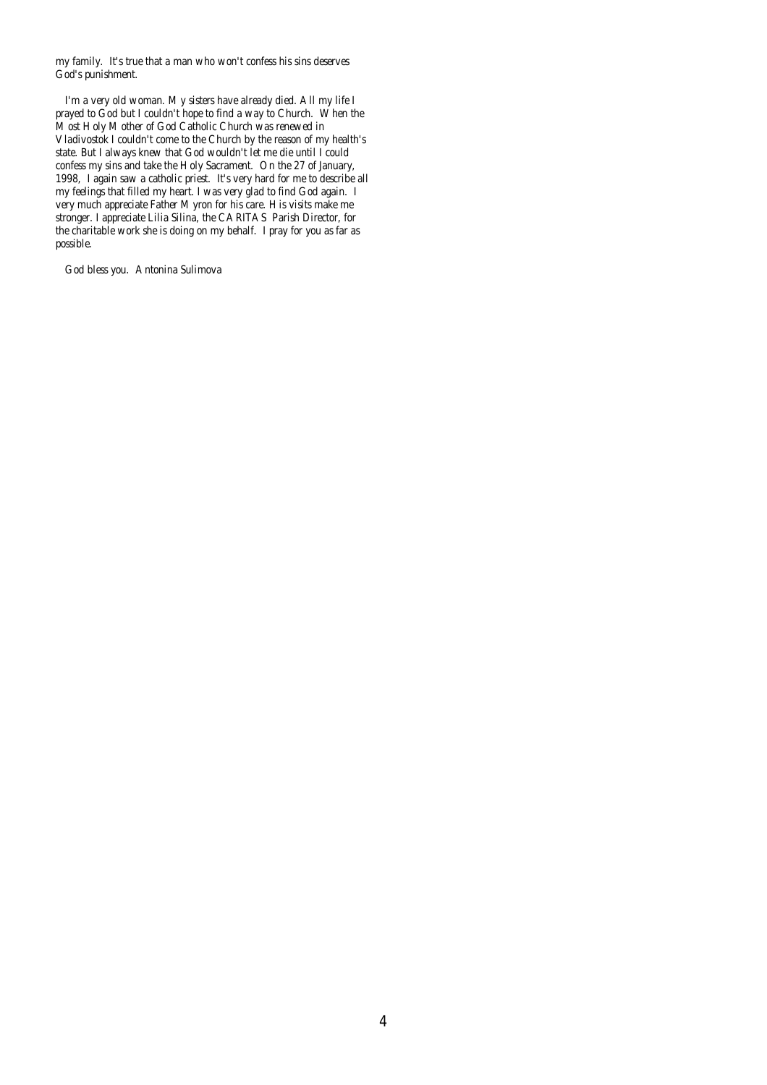my family. It's true that a man who won't confess his sins deserves God's punishment.

 I'm a very old woman. My sisters have already died. All my life I prayed to God but I couldn't hope to find a way to Church. When the Most Holy Mother of God Catholic Church was renewed in Vladivostok I couldn't come to the Church by the reason of my health's state. But I always knew that God wouldn't let me die until I could confess my sins and take the Holy Sacrament. On the 27 of January, 1998, I again saw a catholic priest. It's very hard for me to describe all my feelings that filled my heart. I was very glad to find God again. I very much appreciate Father Myron for his care. His visits make me stronger. I appreciate Lilia Silina, the CARITAS Parish Director, for the charitable work she is doing on my behalf. I pray for you as far as possible.

God bless you. Antonina Sulimova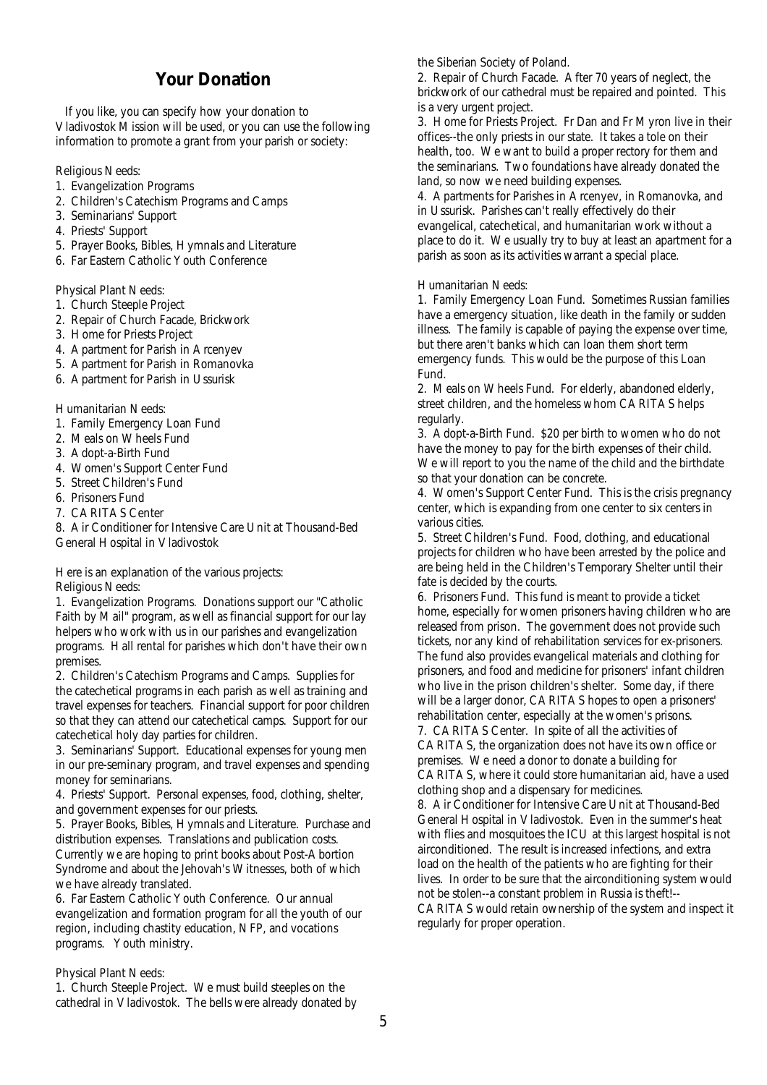# **Your Donation**

 If you like, you can specify how your donation to Vladivostok Mission will be used, or you can use the following information to promote a grant from your parish or society:

Religious Needs:

- 1. Evangelization Programs
- 2. Children's Catechism Programs and Camps
- 3. Seminarians' Support
- 4. Priests' Support
- 5. Prayer Books, Bibles, Hymnals and Literature
- 6. Far Eastern Catholic Youth Conference

Physical Plant Needs:

- 1. Church Steeple Project
- 2. Repair of Church Facade, Brickwork
- 3. Home for Priests Project
- 4. Apartment for Parish in Arcenyev
- 5. Apartment for Parish in Romanovka
- 6. Apartment for Parish in Ussurisk

Humanitarian Needs:

- 1. Family Emergency Loan Fund
- 2. Meals on Wheels Fund
- 3. Adopt-a-Birth Fund
- 4. Women's Support Center Fund
- 5. Street Children's Fund
- 6. Prisoners Fund
- 7. CARITAS Center

8. Air Conditioner for Intensive Care Unit at Thousand-Bed General Hospital in Vladivostok

Here is an explanation of the various projects: Religious Needs:

1. Evangelization Programs. Donations support our "Catholic Faith by Mail" program, as well as financial support for our lay helpers who work with us in our parishes and evangelization programs. Hall rental for parishes which don't have their own premises.

2. Children's Catechism Programs and Camps. Supplies for the catechetical programs in each parish as well as training and travel expenses for teachers. Financial support for poor children so that they can attend our catechetical camps. Support for our catechetical holy day parties for children.

3. Seminarians' Support. Educational expenses for young men in our pre-seminary program, and travel expenses and spending money for seminarians.

4. Priests' Support. Personal expenses, food, clothing, shelter, and government expenses for our priests.

5. Prayer Books, Bibles, Hymnals and Literature. Purchase and distribution expenses. Translations and publication costs. Currently we are hoping to print books about Post-Abortion Syndrome and about the Jehovah's Witnesses, both of which we have already translated.

6. Far Eastern Catholic Youth Conference. Our annual evangelization and formation program for all the youth of our region, including chastity education, NFP, and vocations programs. Youth ministry.

### Physical Plant Needs:

1. Church Steeple Project. We must build steeples on the cathedral in Vladivostok. The bells were already donated by the Siberian Society of Poland.

2. Repair of Church Facade. After 70 years of neglect, the brickwork of our cathedral must be repaired and pointed. This is a very urgent project.

3. Home for Priests Project. Fr Dan and Fr Myron live in their offices--the only priests in our state. It takes a tole on their health, too. We want to build a proper rectory for them and the seminarians. Two foundations have already donated the land, so now we need building expenses.

4. Apartments for Parishes in Arcenyev, in Romanovka, and in Ussurisk. Parishes can't really effectively do their evangelical, catechetical, and humanitarian work without a place to do it. We usually try to buy at least an apartment for a parish as soon as its activities warrant a special place.

### Humanitarian Needs:

1. Family Emergency Loan Fund. Sometimes Russian families have a emergency situation, like death in the family or sudden illness. The family is capable of paying the expense over time, but there aren't banks which can loan them short term emergency funds. This would be the purpose of this Loan Fund.

2. Meals on Wheels Fund. For elderly, abandoned elderly, street children, and the homeless whom CARITAS helps regularly.

3. Adopt-a-Birth Fund. \$20 per birth to women who do not have the money to pay for the birth expenses of their child. We will report to you the name of the child and the birthdate so that your donation can be concrete.

4. Women's Support Center Fund. This is the crisis pregnancy center, which is expanding from one center to six centers in various cities.

5. Street Children's Fund. Food, clothing, and educational projects for children who have been arrested by the police and are being held in the Children's Temporary Shelter until their fate is decided by the courts.

6. Prisoners Fund. This fund is meant to provide a ticket home, especially for women prisoners having children who are released from prison. The government does not provide such tickets, nor any kind of rehabilitation services for ex-prisoners. The fund also provides evangelical materials and clothing for prisoners, and food and medicine for prisoners' infant children who live in the prison children's shelter. Some day, if there will be a larger donor, CARITAS hopes to open a prisoners' rehabilitation center, especially at the women's prisons. 7. CARITAS Center. In spite of all the activities of CARITAS, the organization does not have its own office or premises. We need a donor to donate a building for

CARITAS, where it could store humanitarian aid, have a used clothing shop and a dispensary for medicines.

8. Air Conditioner for Intensive Care Unit at Thousand-Bed General Hospital in Vladivostok. Even in the summer's heat with flies and mosquitoes the ICU at this largest hospital is not airconditioned. The result is increased infections, and extra load on the health of the patients who are fighting for their lives. In order to be sure that the airconditioning system would not be stolen--a constant problem in Russia is theft!--

CARITAS would retain ownership of the system and inspect it regularly for proper operation.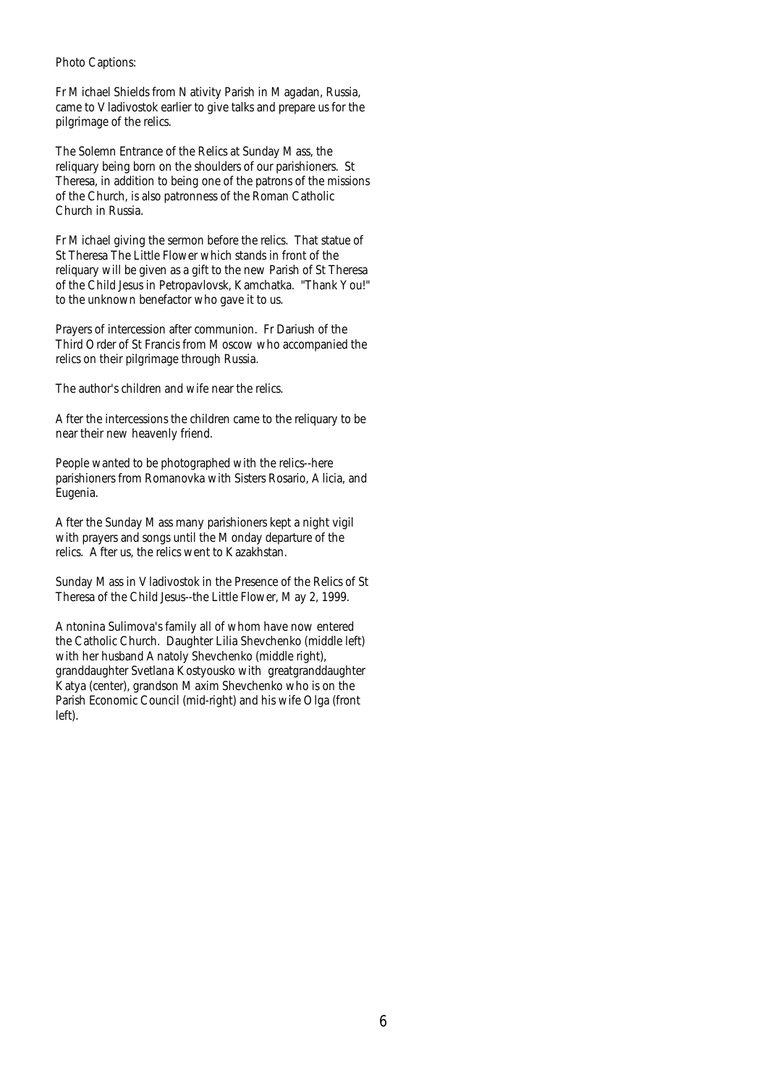### *Photo Captions:*

*Fr Michael Shields from Nativity Parish in Magadan, Russia, came to Vladivostok earlier to give talks and prepare us for the pilgrimage of the relics.* 

*The Solemn Entrance of the Relics at Sunday Mass, the reliquary being born on the shoulders of our parishioners. St Theresa, in addition to being one of the patrons of the missions of the Church, is also patronness of the Roman Catholic Church in Russia.* 

*Fr Michael giving the sermon before the relics. That statue of St Theresa The Little Flower which stands in front of the reliquary will be given as a gift to the new Parish of St Theresa of the Child Jesus in Petropavlovsk, Kamchatka. "Thank You!" to the unknown benefactor who gave it to us.* 

*Prayers of intercession after communion. Fr Dariush of the Third Order of St Francis from Moscow who accompanied the relics on their pilgrimage through Russia.* 

*The author's children and wife near the relics.* 

*After the intercessions the children came to the reliquary to be near their new heavenly friend.* 

*People wanted to be photographed with the relics--here parishioners from Romanovka with Sisters Rosario, Alicia, and Eugenia.* 

*After the Sunday Mass many parishioners kept a night vigil with prayers and songs until the Monday departure of the relics. After us, the relics went to Kazakhstan.* 

*Sunday Mass in Vladivostok in the Presence of the Relics of St Theresa of the Child Jesus--the Little Flower, May 2, 1999.* 

*Antonina Sulimova's family all of whom have now entered the Catholic Church. Daughter Lilia Shevchenko (middle left) with her husband Anatoly Shevchenko (middle right), granddaughter Svetlana Kostyousko with greatgranddaughter Katya (center), grandson Maxim Shevchenko who is on the Parish Economic Council (mid-right) and his wife Olga (front left).*